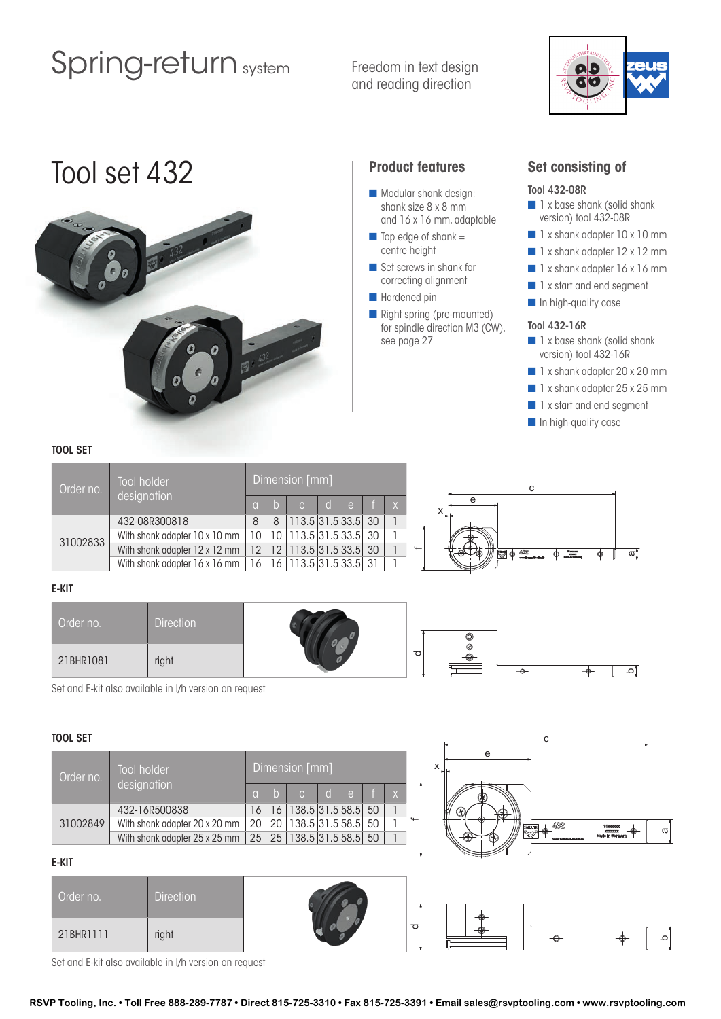# Spring-return system

Freedom in text design and reading direction



# Tool set 432 **Product features**



- **n** Modular shank design: shank size 8 x 8 mm and 16 x 16 mm, adaptable
- $\blacksquare$  Top edge of shank = centre height
- $\blacksquare$  Set screws in shank for correcting alignment
- **n** Hardened pin
- $\blacksquare$  Right spring (pre-mounted) for spindle direction M3 (CW), see page 27

### **Set consisting of**

#### Tool 432-08R

- $\blacksquare$  1 x base shank (solid shank version) tool 432-08R
- 1 x shank adapter 10 x 10 mm
- 1 x shank adapter 12 x 12 mm
- $\blacksquare$  1 x shank adapter 16 x 16 mm
- n 1 x start and end segment
- **n** In high-quality case

#### Tool 432-16R

- **n** 1 x base shank (solid shank version) tool 432-16R
- 1 x shank adapter 20 x 20 mm
- 1 x shank adapter 25 x 25 mm
- **n** 1 x start and end segment
- **n** In high-quality case

### TOOL SET

| Order no. | Tool holder                          |                 | Dimension [mm] |                               |              |              |  |   |  |                                         |    |
|-----------|--------------------------------------|-----------------|----------------|-------------------------------|--------------|--------------|--|---|--|-----------------------------------------|----|
|           | designation                          | <b>TOL</b>      |                |                               | $\mathsf{d}$ | $\mathsf{e}$ |  |   |  |                                         |    |
| 31002833  | 432-08R300818                        | 8               | 8              | 113.5 31.5 33.5 30            |              |              |  |   |  |                                         |    |
|           | With shank adapter 10 x 10 mm        | 10              |                | 10   113.5   31.5   33.5   30 |              |              |  |   |  | -ൈ                                      |    |
|           | With shank adapter 12 x 12 mm        | 12 <sup>1</sup> |                | 12 113.5 31.5 33.5 30         |              |              |  | ↬ |  | $\overline{\mathbb{Z}}$ $\Phi$ $^{432}$ | σī |
|           | With shank adapter $16 \times 16$ mm | 16 <sup>1</sup> |                | 16   113.5   31.5   33.5   31 |              |              |  |   |  |                                         |    |

### E-KIT

| Order no. | <b>Direction</b> |                     | $\bigoplus$ |       |  |
|-----------|------------------|---------------------|-------------|-------|--|
| 21BHR1081 | right            | $\overline{\sigma}$ |             | $-$ o |  |

Set and E-kit also available in l/h version on request

#### TOOL SET

| Order no. | <b>Tool holder</b>            |          | Dimension [mm] |                          |              |      |    |              |  |  |
|-----------|-------------------------------|----------|----------------|--------------------------|--------------|------|----|--------------|--|--|
|           | designation                   | $\alpha$ | l b            | $\mathcal{C}$            | $\mathsf{d}$ | r e' |    | $\mathsf{X}$ |  |  |
|           | 432-16R500838                 | 16       | 16             | 138.5 31.5 58.5          |              |      | 50 |              |  |  |
| 31002849  | With shank adapter 20 x 20 mm | 20       | 20             | 138.5 31.5 58.5          |              |      | 50 |              |  |  |
|           | With shank adapter 25 x 25 mm |          |                | 25 25 138.5 31.5 58.5 50 |              |      |    | 1            |  |  |
| E-KIT     |                               |          |                |                          |              |      |    |              |  |  |



#### E-KIT

| 31002849  |                  | With shank adapter 20 x 20 mm   20   20   138.5   31.5   58.5   50  <br>With shank adapter 25 x 25 mm   25   25   138.5 31.5 58.5 50 |   | 432 | 31xxxxxx<br>xxxxxxxx<br>Made in Germany | ᡕᢐ |
|-----------|------------------|--------------------------------------------------------------------------------------------------------------------------------------|---|-----|-----------------------------------------|----|
| E-KIT     |                  |                                                                                                                                      |   |     |                                         |    |
| Order no. | <b>Direction</b> |                                                                                                                                      |   |     |                                         |    |
| 21BHR1111 | right            |                                                                                                                                      | 雨 |     |                                         |    |

Set and E-kit also available in l/h version on request